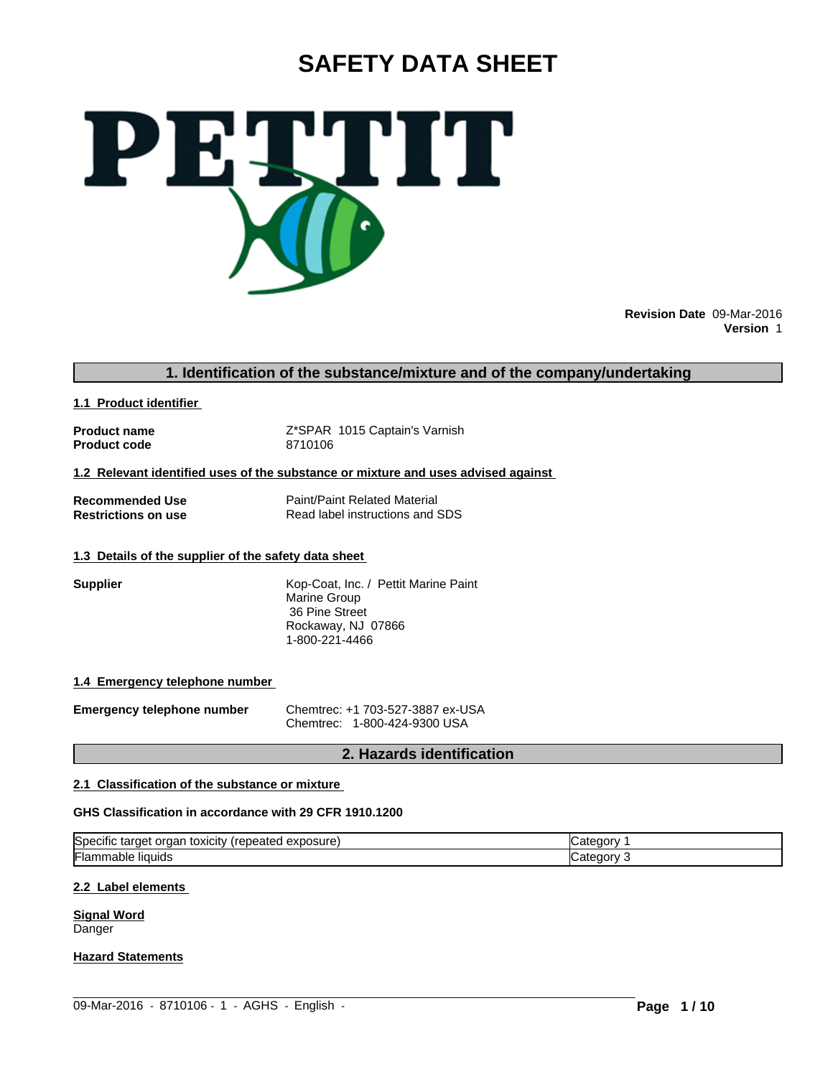# **SAFETY DATA SHEET**



**Revision Date** 09-Mar-2016 **Version** 1

#### **1. Identification of the substance/mixture and of the company/undertaking**

**1.1 Product identifier** 

**Product code 8710106** 

**Product name**  $Z$ <sup>\*</sup>SPAR 1015 Captain's Varnish

**1.2 Relevant identified uses of the substance or mixture and uses advised against** 

**Recommended Use**<br> **Restrictions on use**<br> **Read label instructions and Separate Read label instructions and Separate Property Read label instructions and SDS** 

#### **1.3 Details of the supplier of the safety data sheet**

|  | upplier |  |
|--|---------|--|
|  |         |  |

**Supplier** Kop-Coat, Inc. / Pettit Marine Paint Marine Group 36 Pine Street Rockaway, NJ 07866 1-800-221-4466

#### **1.4 Emergency telephone number**

**Emergency telephone number** Chemtrec: +1 703-527-3887 ex-USA Chemtrec: 1-800-424-9300 USA

### **2. Hazards identification**

#### **2.1 Classification of the substance or mixture**

#### **GHS Classification in accordance with 29 CFR 1910.1200**

| ∽<br>$\cdots$<br>.<br><b>Specific</b><br>toxicity<br>exposure)<br>.epeated <<br>orgar<br>target | ANNM<br>Catego |
|-------------------------------------------------------------------------------------------------|----------------|
| ╺<br>⊩lammable<br>liquids                                                                       | ∴ategor        |

 $\_$  ,  $\_$  ,  $\_$  ,  $\_$  ,  $\_$  ,  $\_$  ,  $\_$  ,  $\_$  ,  $\_$  ,  $\_$  ,  $\_$  ,  $\_$  ,  $\_$  ,  $\_$  ,  $\_$  ,  $\_$  ,  $\_$  ,  $\_$  ,  $\_$  ,  $\_$  ,  $\_$  ,  $\_$  ,  $\_$  ,  $\_$  ,  $\_$  ,  $\_$  ,  $\_$  ,  $\_$  ,  $\_$  ,  $\_$  ,  $\_$  ,  $\_$  ,  $\_$  ,  $\_$  ,  $\_$  ,  $\_$  ,  $\_$  ,

#### **2.2 Label elements**

**Signal Word** Danger

#### **Hazard Statements**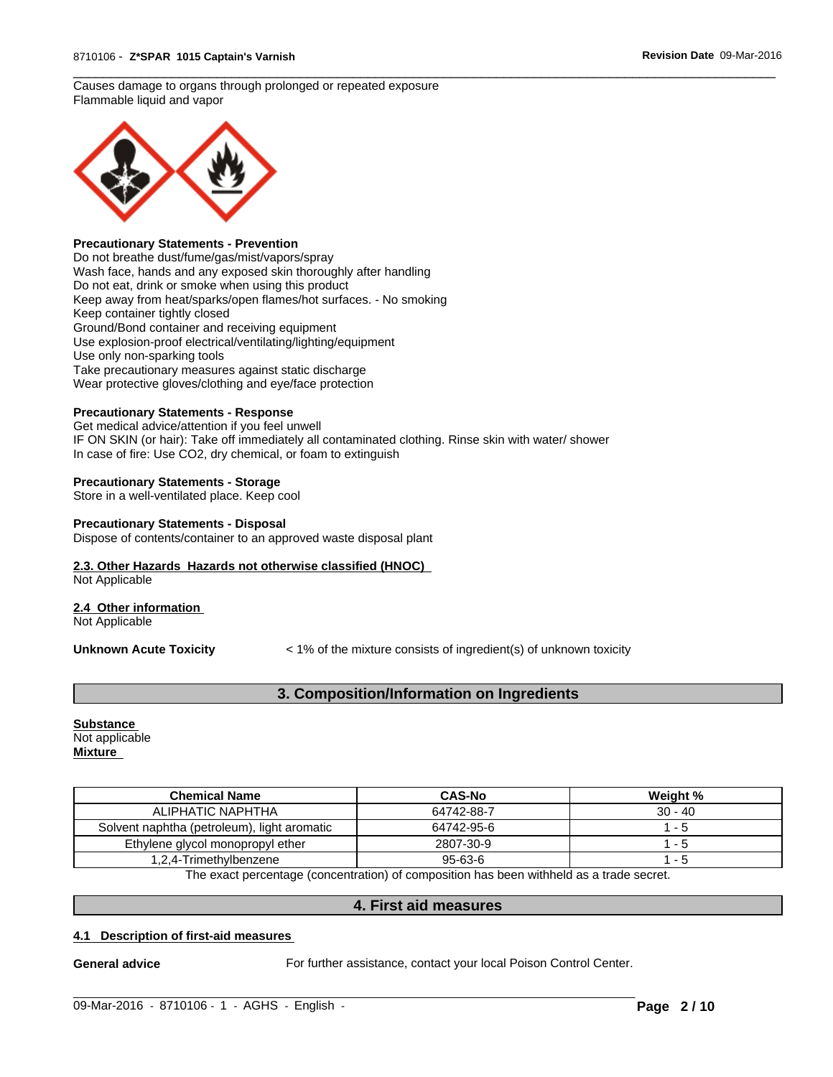#### Causes damage to organs through prolonged or repeated exposure Flammable liquid and vapor



#### **Precautionary Statements - Prevention**

Do not breathe dust/fume/gas/mist/vapors/spray Wash face, hands and any exposed skin thoroughly after handling Do not eat, drink or smoke when using this product Keep away from heat/sparks/open flames/hot surfaces. - No smoking Keep container tightly closed Ground/Bond container and receiving equipment Use explosion-proof electrical/ventilating/lighting/equipment Use only non-sparking tools Take precautionary measures against static discharge Wear protective gloves/clothing and eye/face protection

#### **Precautionary Statements - Response**

Get medical advice/attention if you feel unwell IF ON SKIN (or hair): Take off immediately all contaminated clothing. Rinse skin with water/ shower In case of fire: Use CO2, dry chemical, or foam to extinguish

#### **Precautionary Statements - Storage**

Store in a well-ventilated place. Keep cool

#### **Precautionary Statements - Disposal**

Dispose of contents/container to an approved waste disposal plant

#### **2.3. Other Hazards Hazards not otherwise classified (HNOC)**

Not Applicable

#### **2.4 Other information**

Not Applicable

**Unknown Acute Toxicity**  $\lt$  1% of the mixture consists of ingredient(s) of unknown toxicity

 $\overline{\phantom{a}}$  ,  $\overline{\phantom{a}}$  ,  $\overline{\phantom{a}}$  ,  $\overline{\phantom{a}}$  ,  $\overline{\phantom{a}}$  ,  $\overline{\phantom{a}}$  ,  $\overline{\phantom{a}}$  ,  $\overline{\phantom{a}}$  ,  $\overline{\phantom{a}}$  ,  $\overline{\phantom{a}}$  ,  $\overline{\phantom{a}}$  ,  $\overline{\phantom{a}}$  ,  $\overline{\phantom{a}}$  ,  $\overline{\phantom{a}}$  ,  $\overline{\phantom{a}}$  ,  $\overline{\phantom{a}}$ 

### **3. Composition/Information on Ingredients**

#### **Substance**  Not applicable **Mixture**

| <b>Chemical Name</b>                        | <b>CAS-No</b> | Weight %  |  |
|---------------------------------------------|---------------|-----------|--|
| ALIPHATIC NAPHTHA                           | 64742-88-7    | $30 - 40$ |  |
| Solvent naphtha (petroleum), light aromatic | 64742-95-6    | - 5       |  |
| Ethylene glycol monopropyl ether            | 2807-30-9     | - 5       |  |
| 1,2,4-Trimethylbenzene                      | $95 - 63 - 6$ | - 5       |  |

The exact percentage (concentration) of composition has been withheld as a trade secret.

#### **4. First aid measures**

 $\_$  ,  $\_$  ,  $\_$  ,  $\_$  ,  $\_$  ,  $\_$  ,  $\_$  ,  $\_$  ,  $\_$  ,  $\_$  ,  $\_$  ,  $\_$  ,  $\_$  ,  $\_$  ,  $\_$  ,  $\_$  ,  $\_$  ,  $\_$  ,  $\_$  ,  $\_$  ,  $\_$  ,  $\_$  ,  $\_$  ,  $\_$  ,  $\_$  ,  $\_$  ,  $\_$  ,  $\_$  ,  $\_$  ,  $\_$  ,  $\_$  ,  $\_$  ,  $\_$  ,  $\_$  ,  $\_$  ,  $\_$  ,  $\_$  ,

#### **4.1 Description of first-aid measures**

General advice **For further assistance, contact your local Poison Control Center.**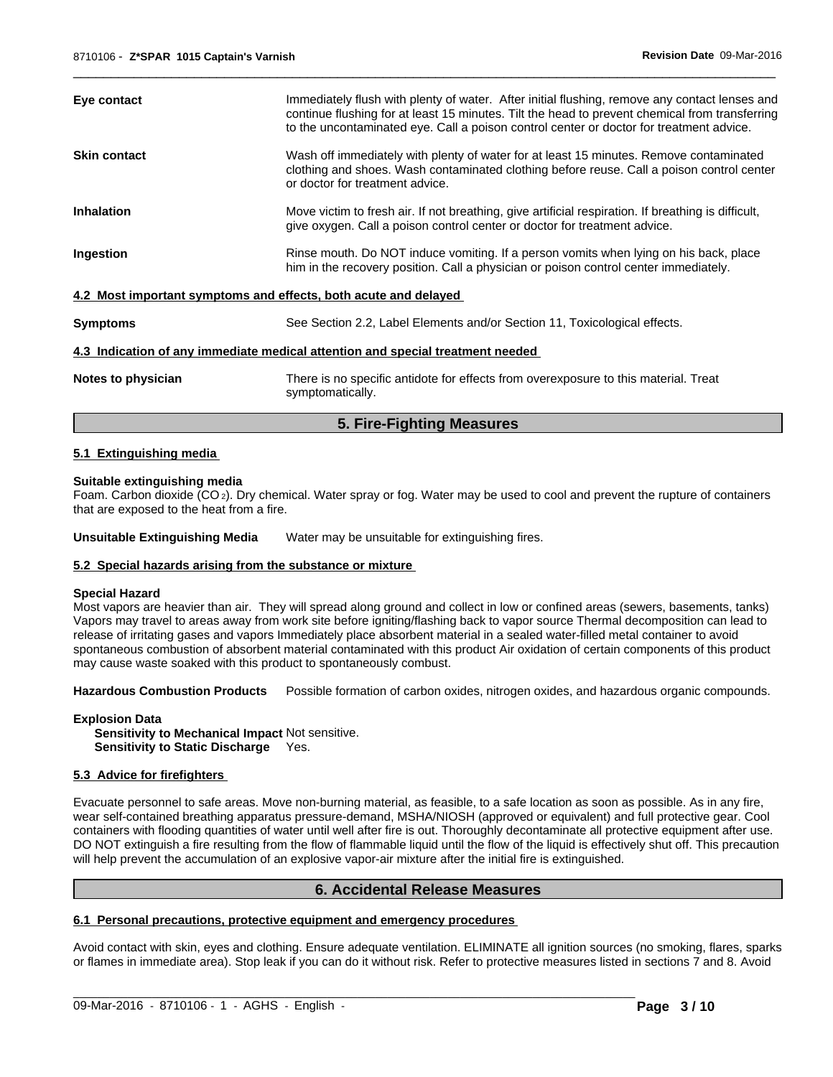|                     | 5. Fire-Fighting Measures                                                                                                                                                                                                                                                                  |
|---------------------|--------------------------------------------------------------------------------------------------------------------------------------------------------------------------------------------------------------------------------------------------------------------------------------------|
| Notes to physician  | There is no specific antidote for effects from overexposure to this material. Treat<br>symptomatically.                                                                                                                                                                                    |
|                     | 4.3 Indication of any immediate medical attention and special treatment needed                                                                                                                                                                                                             |
| <b>Symptoms</b>     | See Section 2.2, Label Elements and/or Section 11, Toxicological effects.                                                                                                                                                                                                                  |
|                     | 4.2 Most important symptoms and effects, both acute and delayed                                                                                                                                                                                                                            |
| Ingestion           | Rinse mouth. Do NOT induce vomiting. If a person vomits when lying on his back, place<br>him in the recovery position. Call a physician or poison control center immediately.                                                                                                              |
| <b>Inhalation</b>   | Move victim to fresh air. If not breathing, give artificial respiration. If breathing is difficult,<br>give oxygen. Call a poison control center or doctor for treatment advice.                                                                                                           |
| <b>Skin contact</b> | Wash off immediately with plenty of water for at least 15 minutes. Remove contaminated<br>clothing and shoes. Wash contaminated clothing before reuse. Call a poison control center<br>or doctor for treatment advice.                                                                     |
| Eye contact         | Immediately flush with plenty of water. After initial flushing, remove any contact lenses and<br>continue flushing for at least 15 minutes. Tilt the head to prevent chemical from transferring<br>to the uncontaminated eye. Call a poison control center or doctor for treatment advice. |
|                     |                                                                                                                                                                                                                                                                                            |

 $\overline{\phantom{a}}$  ,  $\overline{\phantom{a}}$  ,  $\overline{\phantom{a}}$  ,  $\overline{\phantom{a}}$  ,  $\overline{\phantom{a}}$  ,  $\overline{\phantom{a}}$  ,  $\overline{\phantom{a}}$  ,  $\overline{\phantom{a}}$  ,  $\overline{\phantom{a}}$  ,  $\overline{\phantom{a}}$  ,  $\overline{\phantom{a}}$  ,  $\overline{\phantom{a}}$  ,  $\overline{\phantom{a}}$  ,  $\overline{\phantom{a}}$  ,  $\overline{\phantom{a}}$  ,  $\overline{\phantom{a}}$ 

#### **5.1 Extinguishing media**

#### **Suitable extinguishing media**

Foam. Carbon dioxide (CO 2). Dry chemical. Water spray or fog. Water may be used to cool and prevent the rupture of containers that are exposed to the heat from a fire.

**Unsuitable Extinguishing Media** Water may be unsuitable for extinguishing fires.

#### **5.2 Special hazards arising from the substance or mixture**

#### **Special Hazard**

Most vapors are heavier than air. They will spread along ground and collect in low or confined areas (sewers, basements, tanks) Vapors may travel to areas away from work site before igniting/flashing back to vapor source Thermal decomposition can lead to release of irritating gases and vapors Immediately place absorbent material in a sealed water-filled metal container to avoid spontaneous combustion of absorbent material contaminated with this product Air oxidation of certain components of this product may cause waste soaked with this product to spontaneously combust.

**Hazardous Combustion Products** Possible formation of carbon oxides, nitrogen oxides, and hazardous organic compounds.

**Explosion Data**

**Sensitivity to Mechanical Impact** Not sensitive. **Sensitivity to Static Discharge** Yes.

#### **5.3 Advice for firefighters**

Evacuate personnel to safe areas. Move non-burning material, as feasible, to a safe location as soon as possible. As in any fire, wear self-contained breathing apparatus pressure-demand, MSHA/NIOSH (approved or equivalent) and full protective gear. Cool containers with flooding quantities of water until well after fire is out. Thoroughly decontaminate all protective equipment after use. DO NOT extinguish a fire resulting from the flow of flammable liquid until the flow of the liquid is effectively shut off. This precaution will help prevent the accumulation of an explosive vapor-air mixture after the initial fire is extinguished.

#### **6. Accidental Release Measures**

#### **6.1 Personal precautions, protective equipment and emergency procedures**

Avoid contact with skin, eyes and clothing. Ensure adequate ventilation. ELIMINATE all ignition sources (no smoking, flares, sparks or flames in immediate area). Stop leak if you can do it without risk. Refer to protective measures listed in sections 7 and 8. Avoid

 $\_$  ,  $\_$  ,  $\_$  ,  $\_$  ,  $\_$  ,  $\_$  ,  $\_$  ,  $\_$  ,  $\_$  ,  $\_$  ,  $\_$  ,  $\_$  ,  $\_$  ,  $\_$  ,  $\_$  ,  $\_$  ,  $\_$  ,  $\_$  ,  $\_$  ,  $\_$  ,  $\_$  ,  $\_$  ,  $\_$  ,  $\_$  ,  $\_$  ,  $\_$  ,  $\_$  ,  $\_$  ,  $\_$  ,  $\_$  ,  $\_$  ,  $\_$  ,  $\_$  ,  $\_$  ,  $\_$  ,  $\_$  ,  $\_$  ,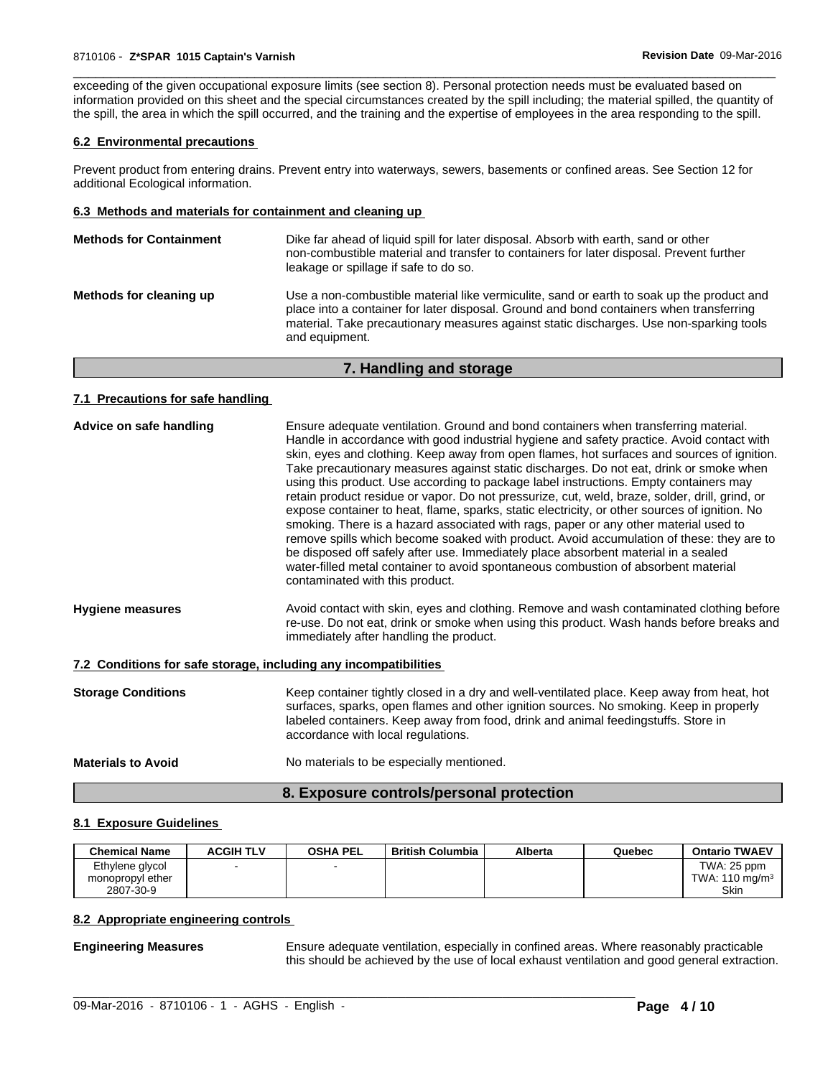exceeding of the given occupational exposure limits (see section 8). Personal protection needs must be evaluated based on information provided on this sheet and the special circumstances created by the spill including; the material spilled, the quantity of the spill, the area in which the spill occurred, and the training and the expertise of employees in the area responding to the spill.

 $\overline{\phantom{a}}$  ,  $\overline{\phantom{a}}$  ,  $\overline{\phantom{a}}$  ,  $\overline{\phantom{a}}$  ,  $\overline{\phantom{a}}$  ,  $\overline{\phantom{a}}$  ,  $\overline{\phantom{a}}$  ,  $\overline{\phantom{a}}$  ,  $\overline{\phantom{a}}$  ,  $\overline{\phantom{a}}$  ,  $\overline{\phantom{a}}$  ,  $\overline{\phantom{a}}$  ,  $\overline{\phantom{a}}$  ,  $\overline{\phantom{a}}$  ,  $\overline{\phantom{a}}$  ,  $\overline{\phantom{a}}$ 

#### **6.2 Environmental precautions**

Prevent product from entering drains. Prevent entry into waterways, sewers, basements or confined areas. See Section 12 for additional Ecological information.

#### **6.3 Methods and materials for containment and cleaning up**

| <b>Methods for Containment</b> | Dike far ahead of liquid spill for later disposal. Absorb with earth, sand or other<br>non-combustible material and transfer to containers for later disposal. Prevent further<br>leakage or spillage if safe to do so.                                                                           |
|--------------------------------|---------------------------------------------------------------------------------------------------------------------------------------------------------------------------------------------------------------------------------------------------------------------------------------------------|
| Methods for cleaning up        | Use a non-combustible material like vermiculite, sand or earth to soak up the product and<br>place into a container for later disposal. Ground and bond containers when transferring<br>material. Take precautionary measures against static discharges. Use non-sparking tools<br>and equipment. |

#### **7. Handling and storage**

#### **7.1 Precautions for safe handling**

| Advice on safe handling                                          | Ensure adequate ventilation. Ground and bond containers when transferring material.<br>Handle in accordance with good industrial hygiene and safety practice. Avoid contact with<br>skin, eyes and clothing. Keep away from open flames, hot surfaces and sources of ignition.<br>Take precautionary measures against static discharges. Do not eat, drink or smoke when<br>using this product. Use according to package label instructions. Empty containers may<br>retain product residue or vapor. Do not pressurize, cut, weld, braze, solder, drill, grind, or<br>expose container to heat, flame, sparks, static electricity, or other sources of ignition. No<br>smoking. There is a hazard associated with rags, paper or any other material used to<br>remove spills which become soaked with product. Avoid accumulation of these: they are to<br>be disposed off safely after use. Immediately place absorbent material in a sealed<br>water-filled metal container to avoid spontaneous combustion of absorbent material<br>contaminated with this product. |
|------------------------------------------------------------------|-------------------------------------------------------------------------------------------------------------------------------------------------------------------------------------------------------------------------------------------------------------------------------------------------------------------------------------------------------------------------------------------------------------------------------------------------------------------------------------------------------------------------------------------------------------------------------------------------------------------------------------------------------------------------------------------------------------------------------------------------------------------------------------------------------------------------------------------------------------------------------------------------------------------------------------------------------------------------------------------------------------------------------------------------------------------------|
| <b>Hygiene measures</b>                                          | Avoid contact with skin, eyes and clothing. Remove and wash contaminated clothing before<br>re-use. Do not eat, drink or smoke when using this product. Wash hands before breaks and<br>immediately after handling the product.                                                                                                                                                                                                                                                                                                                                                                                                                                                                                                                                                                                                                                                                                                                                                                                                                                         |
| 7.2 Conditions for safe storage, including any incompatibilities |                                                                                                                                                                                                                                                                                                                                                                                                                                                                                                                                                                                                                                                                                                                                                                                                                                                                                                                                                                                                                                                                         |
| <b>Storage Conditions</b>                                        | Keep container tightly closed in a dry and well-ventilated place. Keep away from heat, hot<br>surfaces, sparks, open flames and other ignition sources. No smoking. Keep in properly<br>labeled containers. Keep away from food, drink and animal feedingstuffs. Store in<br>accordance with local regulations.                                                                                                                                                                                                                                                                                                                                                                                                                                                                                                                                                                                                                                                                                                                                                         |
| <b>Materials to Avoid</b>                                        | No materials to be especially mentioned.                                                                                                                                                                                                                                                                                                                                                                                                                                                                                                                                                                                                                                                                                                                                                                                                                                                                                                                                                                                                                                |

### **8. Exposure controls/personal protection**

#### **8.1 Exposure Guidelines**

| <b>Chemical Name</b> | <b>ACGIH TLV</b> | <b>OSHA PEL</b> | <b>British Columbia</b> | <b>Alberta</b> | Quebec | <b>Ontario TWAEV</b>      |
|----------------------|------------------|-----------------|-------------------------|----------------|--------|---------------------------|
| Ethylene glycol      |                  |                 |                         |                |        | TWA: 25 ppm               |
| monopropyl ether     |                  |                 |                         |                |        | TWA: $110 \text{ mg/m}^3$ |
| 2807-30-9            |                  |                 |                         |                |        | Skin                      |

 $\_$  , and the set of the set of the set of the set of the set of the set of the set of the set of the set of the set of the set of the set of the set of the set of the set of the set of the set of the set of the set of th

#### **8.2 Appropriate engineering controls**

**Engineering Measures Ensure adequate ventilation, especially in confined areas. Where reasonably practicable** this should be achieved by the use of local exhaust ventilation and good general extraction.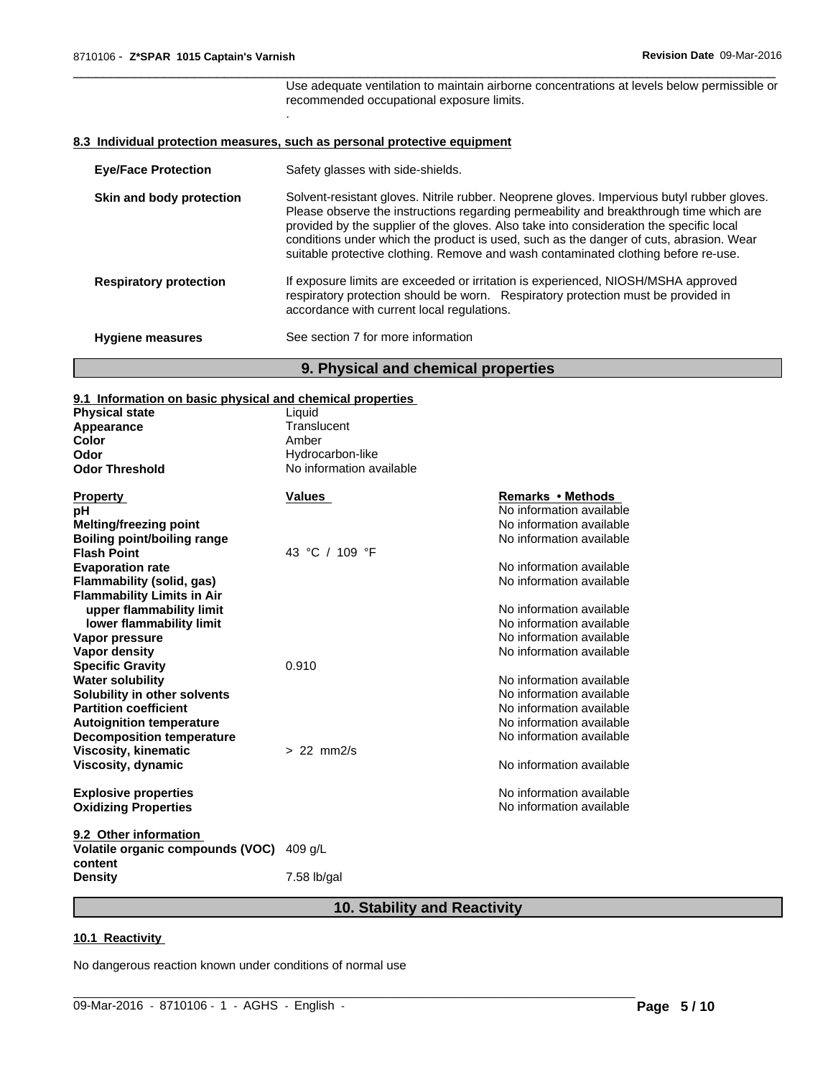Use adequate ventilation to maintain airborne concentrations at levels below permissible or recommended occupational exposure limits.

 $\overline{\phantom{a}}$  ,  $\overline{\phantom{a}}$  ,  $\overline{\phantom{a}}$  ,  $\overline{\phantom{a}}$  ,  $\overline{\phantom{a}}$  ,  $\overline{\phantom{a}}$  ,  $\overline{\phantom{a}}$  ,  $\overline{\phantom{a}}$  ,  $\overline{\phantom{a}}$  ,  $\overline{\phantom{a}}$  ,  $\overline{\phantom{a}}$  ,  $\overline{\phantom{a}}$  ,  $\overline{\phantom{a}}$  ,  $\overline{\phantom{a}}$  ,  $\overline{\phantom{a}}$  ,  $\overline{\phantom{a}}$ 

#### **8.3 Individual protection measures, such as personal protective equipment**

.

| <b>Eye/Face Protection</b>    | Safety glasses with side-shields.                                                                                                                                                                                                                                                                                                                                                                                                                               |
|-------------------------------|-----------------------------------------------------------------------------------------------------------------------------------------------------------------------------------------------------------------------------------------------------------------------------------------------------------------------------------------------------------------------------------------------------------------------------------------------------------------|
| Skin and body protection      | Solvent-resistant gloves. Nitrile rubber. Neoprene gloves. Impervious butyl rubber gloves.<br>Please observe the instructions regarding permeability and breakthrough time which are<br>provided by the supplier of the gloves. Also take into consideration the specific local<br>conditions under which the product is used, such as the danger of cuts, abrasion. Wear<br>suitable protective clothing. Remove and wash contaminated clothing before re-use. |
| <b>Respiratory protection</b> | If exposure limits are exceeded or irritation is experienced, NIOSH/MSHA approved<br>respiratory protection should be worn. Respiratory protection must be provided in<br>accordance with current local regulations.                                                                                                                                                                                                                                            |
| <b>Hygiene measures</b>       | See section 7 for more information                                                                                                                                                                                                                                                                                                                                                                                                                              |
|                               |                                                                                                                                                                                                                                                                                                                                                                                                                                                                 |

### **9. Physical and chemical properties**

# **9.1 Information on basic physical and chemical properties**

| 9.1 Information on basic physical and chemical properties |                          |                          |
|-----------------------------------------------------------|--------------------------|--------------------------|
| <b>Physical state</b>                                     | Liquid                   |                          |
| Appearance                                                | Translucent              |                          |
| Color                                                     | Amber                    |                          |
| Odor                                                      | Hydrocarbon-like         |                          |
| <b>Odor Threshold</b>                                     | No information available |                          |
| <b>Property</b>                                           | Values                   | Remarks • Methods        |
| рH                                                        |                          | No information available |
| <b>Melting/freezing point</b>                             |                          | No information available |
| <b>Boiling point/boiling range</b>                        |                          | No information available |
| <b>Flash Point</b>                                        | 43 °C / 109 °F           |                          |
| <b>Evaporation rate</b>                                   |                          | No information available |
| Flammability (solid, gas)                                 |                          | No information available |
| <b>Flammability Limits in Air</b>                         |                          |                          |
| upper flammability limit                                  |                          | No information available |
| lower flammability limit                                  |                          | No information available |
| <b>Vapor pressure</b>                                     |                          | No information available |
| Vapor density                                             |                          | No information available |
| <b>Specific Gravity</b>                                   | 0.910                    |                          |
| <b>Water solubility</b>                                   |                          | No information available |
| Solubility in other solvents                              |                          | No information available |
| <b>Partition coefficient</b>                              |                          | No information available |
| <b>Autoignition temperature</b>                           |                          | No information available |
| <b>Decomposition temperature</b>                          |                          | No information available |
| <b>Viscosity, kinematic</b>                               | $> 22$ mm $2/s$          |                          |
| Viscosity, dynamic                                        |                          | No information available |
| <b>Explosive properties</b>                               |                          | No information available |
| <b>Oxidizing Properties</b>                               |                          | No information available |
| 9.2 Other information                                     |                          |                          |
| Volatile organic compounds (VOC) 409 g/L<br>content       |                          |                          |
| <b>Density</b>                                            | 7.58 lb/gal              |                          |

## **10. Stability and Reactivity**

 $\_$  ,  $\_$  ,  $\_$  ,  $\_$  ,  $\_$  ,  $\_$  ,  $\_$  ,  $\_$  ,  $\_$  ,  $\_$  ,  $\_$  ,  $\_$  ,  $\_$  ,  $\_$  ,  $\_$  ,  $\_$  ,  $\_$  ,  $\_$  ,  $\_$  ,  $\_$  ,  $\_$  ,  $\_$  ,  $\_$  ,  $\_$  ,  $\_$  ,  $\_$  ,  $\_$  ,  $\_$  ,  $\_$  ,  $\_$  ,  $\_$  ,  $\_$  ,  $\_$  ,  $\_$  ,  $\_$  ,  $\_$  ,  $\_$  ,

#### **10.1 Reactivity**

No dangerous reaction known under conditions of normal use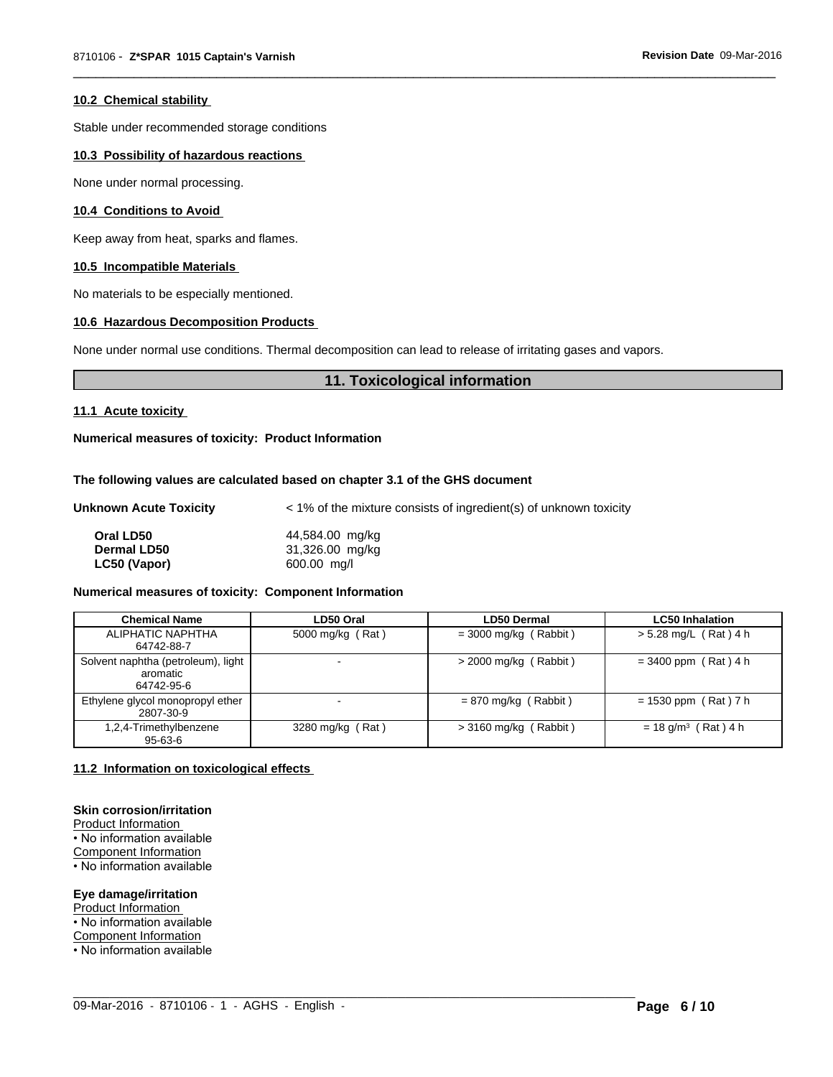#### **10.2 Chemical stability**

Stable under recommended storage conditions

#### **10.3 Possibility of hazardous reactions**

None under normal processing.

#### **10.4 Conditions to Avoid**

Keep away from heat, sparks and flames.

#### **10.5 Incompatible Materials**

No materials to be especially mentioned.

#### **10.6 Hazardous Decomposition Products**

None under normal use conditions. Thermal decomposition can lead to release of irritating gases and vapors.

#### **11. Toxicological information**

 $\overline{\phantom{a}}$  ,  $\overline{\phantom{a}}$  ,  $\overline{\phantom{a}}$  ,  $\overline{\phantom{a}}$  ,  $\overline{\phantom{a}}$  ,  $\overline{\phantom{a}}$  ,  $\overline{\phantom{a}}$  ,  $\overline{\phantom{a}}$  ,  $\overline{\phantom{a}}$  ,  $\overline{\phantom{a}}$  ,  $\overline{\phantom{a}}$  ,  $\overline{\phantom{a}}$  ,  $\overline{\phantom{a}}$  ,  $\overline{\phantom{a}}$  ,  $\overline{\phantom{a}}$  ,  $\overline{\phantom{a}}$ 

#### **11.1 Acute toxicity**

**Numerical measures of toxicity: Product Information**

#### **The following values are calculated based on chapter 3.1 of the GHS document**

| Unknown Acute Toxicity | < 1% of the mixture consists of ingredient(s) of unknown toxicity |
|------------------------|-------------------------------------------------------------------|
|------------------------|-------------------------------------------------------------------|

| Oral LD50          | 44,584.00 mg/kg |
|--------------------|-----------------|
| <b>Dermal LD50</b> | 31,326.00 mg/kg |
| LC50 (Vapor)       | 600.00 mg/l     |

#### **Numerical measures of toxicity: Component Information**

| <b>Chemical Name</b>                                         | LD50 Oral        | <b>LD50 Dermal</b>      | <b>LC50 Inhalation</b>            |
|--------------------------------------------------------------|------------------|-------------------------|-----------------------------------|
| ALIPHATIC NAPHTHA<br>64742-88-7                              | 5000 mg/kg (Rat) | $=$ 3000 mg/kg (Rabbit) | $> 5.28$ mg/L (Rat) 4 h           |
| Solvent naphtha (petroleum), light<br>aromatic<br>64742-95-6 |                  | $>$ 2000 mg/kg (Rabbit) | $= 3400$ ppm (Rat) 4 h            |
| Ethylene glycol monopropyl ether<br>2807-30-9                |                  | $= 870$ mg/kg (Rabbit)  | $= 1530$ ppm (Rat) 7 h            |
| 1,2,4-Trimethylbenzene<br>95-63-6                            | 3280 mg/kg (Rat) | $>$ 3160 mg/kg (Rabbit) | $= 18$ g/m <sup>3</sup> (Rat) 4 h |

 $\_$  ,  $\_$  ,  $\_$  ,  $\_$  ,  $\_$  ,  $\_$  ,  $\_$  ,  $\_$  ,  $\_$  ,  $\_$  ,  $\_$  ,  $\_$  ,  $\_$  ,  $\_$  ,  $\_$  ,  $\_$  ,  $\_$  ,  $\_$  ,  $\_$  ,  $\_$  ,  $\_$  ,  $\_$  ,  $\_$  ,  $\_$  ,  $\_$  ,  $\_$  ,  $\_$  ,  $\_$  ,  $\_$  ,  $\_$  ,  $\_$  ,  $\_$  ,  $\_$  ,  $\_$  ,  $\_$  ,  $\_$  ,  $\_$  ,

#### **11.2 Information on toxicological effects**

#### **Skin corrosion/irritation**

Product Information

• No information available Component Information

• No information available

**Eye damage/irritation** Product Information

• No information available

Component Information

• No information available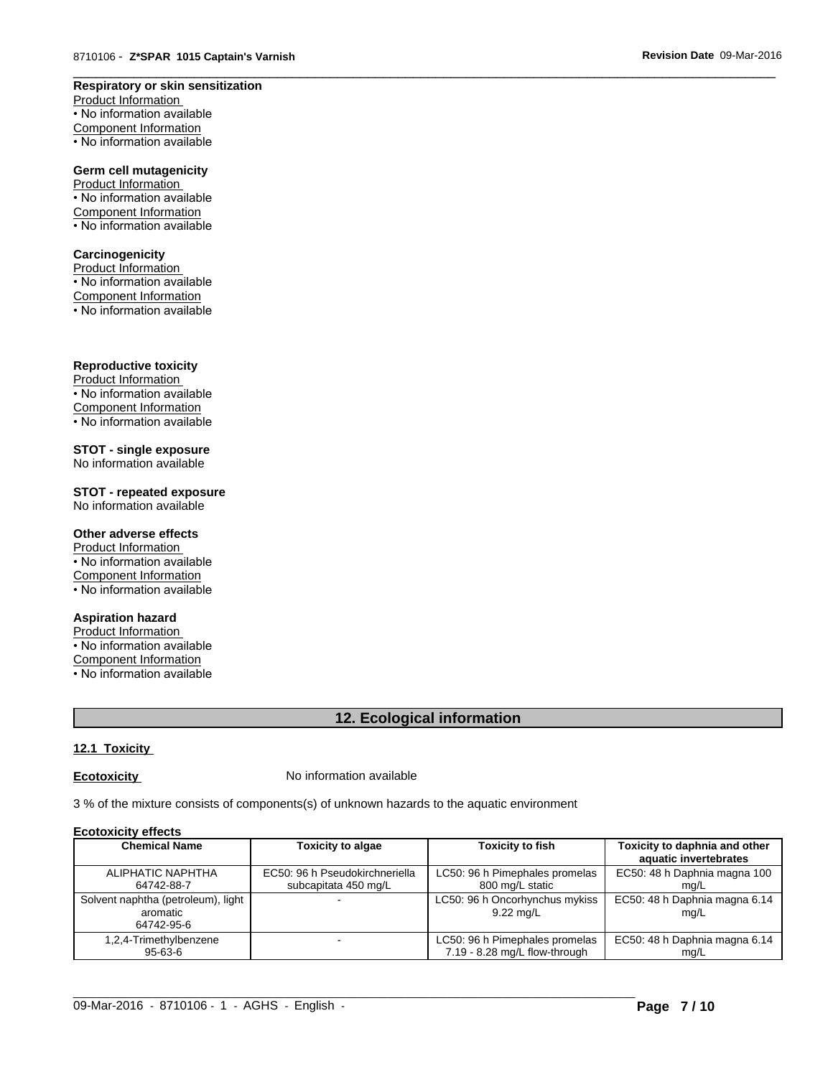#### **Respiratory or skin sensitization**

Product Information • No information available Component Information • No information available

#### **Germ cell mutagenicity**

Product Information • No information available Component Information • No information available

#### **Carcinogenicity**

Product Information • No information available Component Information

 $\overline{\cdot}$  No information available

#### **Reproductive toxicity**

Product Information • No information available Component Information • No information available

#### **STOT - single exposure** No information available

**STOT - repeated exposure**

No information available

#### **Other adverse effects**

Product Information • No information available Component Information • No information available

#### **Aspiration hazard**

Product Information • No information available Component Information • No information available

### **12. Ecological information**

 $\overline{\phantom{a}}$  ,  $\overline{\phantom{a}}$  ,  $\overline{\phantom{a}}$  ,  $\overline{\phantom{a}}$  ,  $\overline{\phantom{a}}$  ,  $\overline{\phantom{a}}$  ,  $\overline{\phantom{a}}$  ,  $\overline{\phantom{a}}$  ,  $\overline{\phantom{a}}$  ,  $\overline{\phantom{a}}$  ,  $\overline{\phantom{a}}$  ,  $\overline{\phantom{a}}$  ,  $\overline{\phantom{a}}$  ,  $\overline{\phantom{a}}$  ,  $\overline{\phantom{a}}$  ,  $\overline{\phantom{a}}$ 

### **12.1 Toxicity**

**Ecotoxicity No information available** 

3 % of the mixture consists of components(s) of unknown hazards to the aquatic environment

#### **Ecotoxicity effects**

| <b>Chemical Name</b>                                         | <b>Toxicity to algae</b>       | <b>Toxicity to fish</b>                               | Toxicity to daphnia and other<br>aquatic invertebrates |
|--------------------------------------------------------------|--------------------------------|-------------------------------------------------------|--------------------------------------------------------|
| ALIPHATIC NAPHTHA                                            | EC50: 96 h Pseudokirchneriella | LC50: 96 h Pimephales promelas                        | EC50: 48 h Daphnia magna 100                           |
| 64742-88-7                                                   | subcapitata 450 mg/L           | 800 mg/L static                                       | ma/L                                                   |
| Solvent naphtha (petroleum), light<br>aromatic<br>64742-95-6 |                                | LC50: 96 h Oncorhynchus mykiss<br>$9.22 \text{ mq/L}$ | EC50: 48 h Daphnia magna 6.14<br>mg/L                  |
| 1,2,4-Trimethylbenzene                                       |                                | LC50: 96 h Pimephales promelas                        | EC50: 48 h Daphnia magna 6.14                          |
| 95-63-6                                                      |                                | 7.19 - 8.28 mg/L flow-through                         | mq/L                                                   |

 $\_$  ,  $\_$  ,  $\_$  ,  $\_$  ,  $\_$  ,  $\_$  ,  $\_$  ,  $\_$  ,  $\_$  ,  $\_$  ,  $\_$  ,  $\_$  ,  $\_$  ,  $\_$  ,  $\_$  ,  $\_$  ,  $\_$  ,  $\_$  ,  $\_$  ,  $\_$  ,  $\_$  ,  $\_$  ,  $\_$  ,  $\_$  ,  $\_$  ,  $\_$  ,  $\_$  ,  $\_$  ,  $\_$  ,  $\_$  ,  $\_$  ,  $\_$  ,  $\_$  ,  $\_$  ,  $\_$  ,  $\_$  ,  $\_$  ,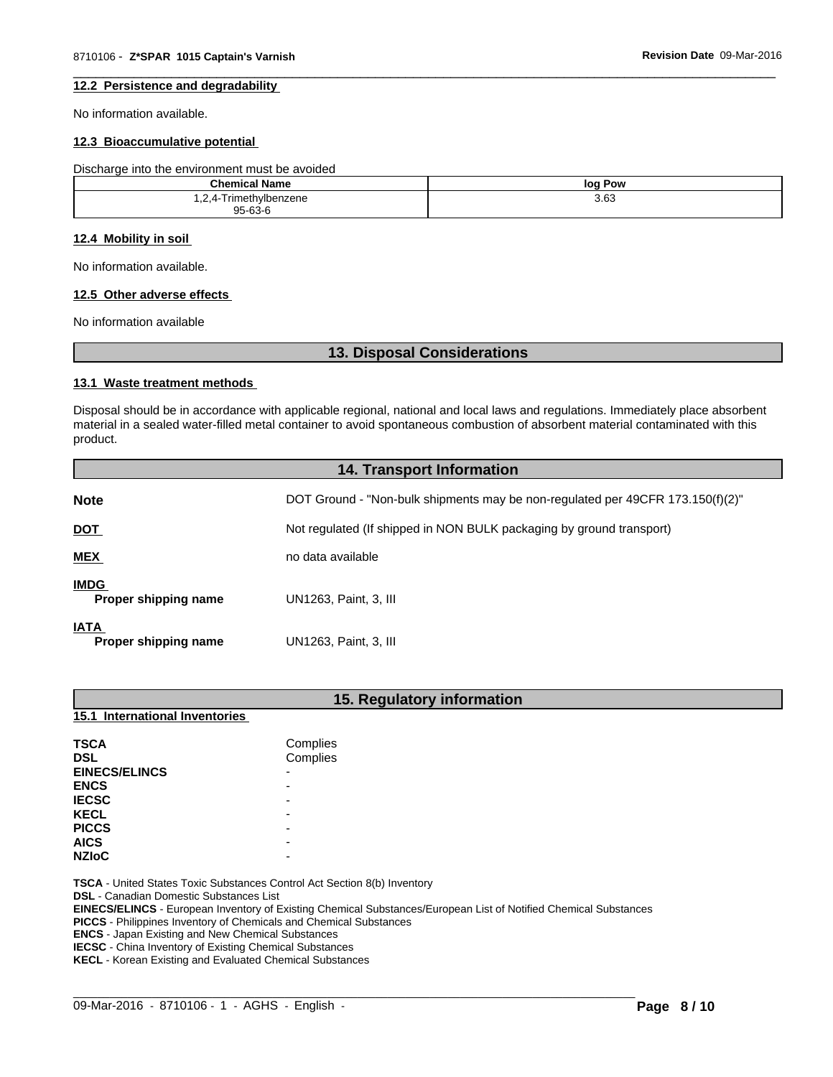#### $\overline{\phantom{a}}$  ,  $\overline{\phantom{a}}$  ,  $\overline{\phantom{a}}$  ,  $\overline{\phantom{a}}$  ,  $\overline{\phantom{a}}$  ,  $\overline{\phantom{a}}$  ,  $\overline{\phantom{a}}$  ,  $\overline{\phantom{a}}$  ,  $\overline{\phantom{a}}$  ,  $\overline{\phantom{a}}$  ,  $\overline{\phantom{a}}$  ,  $\overline{\phantom{a}}$  ,  $\overline{\phantom{a}}$  ,  $\overline{\phantom{a}}$  ,  $\overline{\phantom{a}}$  ,  $\overline{\phantom{a}}$ **12.2 Persistence and degradability**

No information available.

#### **12.3 Bioaccumulative potential**

Discharge into the environment must be avoided

| <b>Chemical Name</b>   | log Pow |
|------------------------|---------|
| 1,2,4-Trimethylbenzene | 3.63    |
| 95-63-6                |         |

#### **12.4 Mobility in soil**

No information available.

#### **12.5 Other adverse effects**

No information available

#### **13. Disposal Considerations**

#### **13.1 Waste treatment methods**

Disposal should be in accordance with applicable regional, national and local laws and regulations. Immediately place absorbent material in a sealed water-filled metal container to avoid spontaneous combustion of absorbent material contaminated with this product.

| <b>14. Transport Information</b>    |                                                                                |  |
|-------------------------------------|--------------------------------------------------------------------------------|--|
| <b>Note</b>                         | DOT Ground - "Non-bulk shipments may be non-regulated per 49CFR 173.150(f)(2)" |  |
| <b>DOT</b>                          | Not regulated (If shipped in NON BULK packaging by ground transport)           |  |
| <b>MEX</b>                          | no data available                                                              |  |
| <b>IMDG</b><br>Proper shipping name | UN1263, Paint, 3, III                                                          |  |
| <b>IATA</b><br>Proper shipping name | UN1263, Paint, 3, III                                                          |  |

| 15. Regulatory information                     |                                                                                                                                                                                                            |  |  |
|------------------------------------------------|------------------------------------------------------------------------------------------------------------------------------------------------------------------------------------------------------------|--|--|
| 15.1 International Inventories                 |                                                                                                                                                                                                            |  |  |
| <b>TSCA</b>                                    | Complies                                                                                                                                                                                                   |  |  |
| <b>DSL</b>                                     | Complies                                                                                                                                                                                                   |  |  |
| <b>EINECS/ELINCS</b>                           |                                                                                                                                                                                                            |  |  |
| <b>ENCS</b>                                    |                                                                                                                                                                                                            |  |  |
| <b>IECSC</b>                                   |                                                                                                                                                                                                            |  |  |
| <b>KECL</b>                                    |                                                                                                                                                                                                            |  |  |
| <b>PICCS</b>                                   |                                                                                                                                                                                                            |  |  |
| <b>AICS</b>                                    |                                                                                                                                                                                                            |  |  |
| <b>NZIoC</b>                                   |                                                                                                                                                                                                            |  |  |
| <b>DSL</b> - Canadian Domestic Substances List | <b>TSCA</b> - United States Toxic Substances Control Act Section 8(b) Inventory<br><b>EINECS/ELINCS</b> - European Inventory of Existing Chemical Substances/European List of Notified Chemical Substances |  |  |

**PICCS** - Philippines Inventory of Chemicals and Chemical Substances

**ENCS** - Japan Existing and New Chemical Substances

**IECSC** - China Inventory of Existing Chemical Substances

**KECL** - Korean Existing and Evaluated Chemical Substances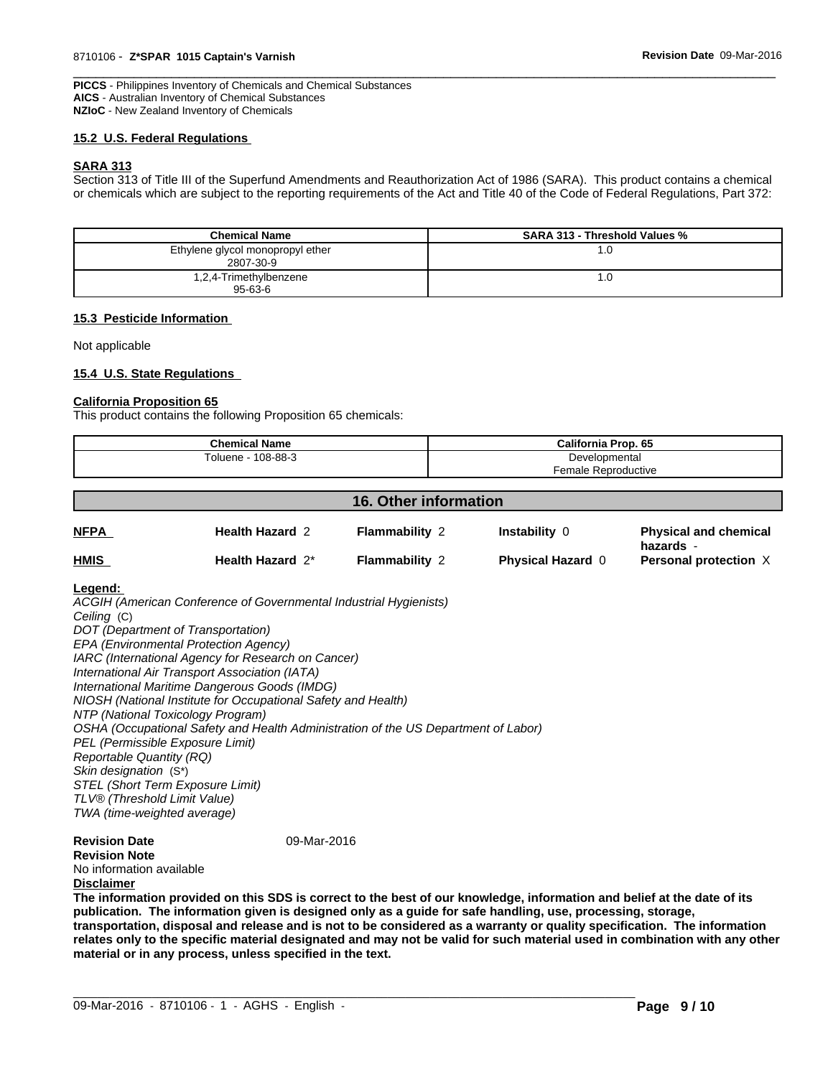$\overline{\phantom{a}}$  ,  $\overline{\phantom{a}}$  ,  $\overline{\phantom{a}}$  ,  $\overline{\phantom{a}}$  ,  $\overline{\phantom{a}}$  ,  $\overline{\phantom{a}}$  ,  $\overline{\phantom{a}}$  ,  $\overline{\phantom{a}}$  ,  $\overline{\phantom{a}}$  ,  $\overline{\phantom{a}}$  ,  $\overline{\phantom{a}}$  ,  $\overline{\phantom{a}}$  ,  $\overline{\phantom{a}}$  ,  $\overline{\phantom{a}}$  ,  $\overline{\phantom{a}}$  ,  $\overline{\phantom{a}}$ **PICCS** - Philippines Inventory of Chemicals and Chemical Substances **AICS** - Australian Inventory of Chemical Substances **NZIoC** - New Zealand Inventory of Chemicals

#### **15.2 U.S. Federal Regulations**

#### **SARA 313**

Section 313 of Title III of the Superfund Amendments and Reauthorization Act of 1986 (SARA). This product contains a chemical or chemicals which are subject to the reporting requirements of the Act and Title 40 of the Code of Federal Regulations, Part 372:

| <b>Chemical Name</b>                          | <b>SARA 313 - Threshold Values %</b> |
|-----------------------------------------------|--------------------------------------|
| Ethylene glycol monopropyl ether<br>2807-30-9 | . .U                                 |
| 1,2,4-Trimethylbenzene                        | . ن                                  |
| $95 - 63 - 6$                                 |                                      |

#### **15.3 Pesticide Information**

Not applicable

#### **15.4 U.S. State Regulations**

#### **California Proposition 65**

This product contains the following Proposition 65 chemicals:

| <b>Chemical Name</b>  | California Prop. 65 |
|-----------------------|---------------------|
| Toluene ·<br>108-88-3 | Developmental       |
|                       | Female Reproductive |

|             | <b>16. Other information</b> |                       |                          |                                           |
|-------------|------------------------------|-----------------------|--------------------------|-------------------------------------------|
| <b>NFPA</b> | <b>Health Hazard 2</b>       | <b>Flammability 2</b> | <b>Instability 0</b>     | <b>Physical and chemical</b><br>hazards - |
| <b>HMIS</b> | Health Hazard 2*             | <b>Flammability 2</b> | <b>Physical Hazard 0</b> | Personal protection X                     |

#### **Legend:**

*ACGIH (American Conference of Governmental Industrial Hygienists) Ceiling* (C) *DOT (Department of Transportation) EPA (Environmental Protection Agency) IARC (International Agency for Research on Cancer) International Air Transport Association (IATA) International Maritime Dangerous Goods (IMDG) NIOSH (National Institute for Occupational Safety and Health) NTP (National Toxicology Program) OSHA (Occupational Safety and Health Administration of the US Department of Labor) PEL (Permissible Exposure Limit) Reportable Quantity (RQ) Skin designation* (S\*) *STEL (Short Term Exposure Limit) TLV® (Threshold Limit Value) TWA (time-weighted average)*

#### **Revision Date** 09-Mar-2016

**Revision Note** No information available

#### **Disclaimer**

**The information provided on this SDS is correct to the best of our knowledge, information and belief at the date of its publication. The information given is designed only as a guide for safe handling, use, processing, storage, transportation, disposal and release and is not to be considered as a warranty or quality specification. The information relates only to the specific material designated and may not be valid for such material used in combination with any other material or in any process, unless specified in the text.**

 $\_$  ,  $\_$  ,  $\_$  ,  $\_$  ,  $\_$  ,  $\_$  ,  $\_$  ,  $\_$  ,  $\_$  ,  $\_$  ,  $\_$  ,  $\_$  ,  $\_$  ,  $\_$  ,  $\_$  ,  $\_$  ,  $\_$  ,  $\_$  ,  $\_$  ,  $\_$  ,  $\_$  ,  $\_$  ,  $\_$  ,  $\_$  ,  $\_$  ,  $\_$  ,  $\_$  ,  $\_$  ,  $\_$  ,  $\_$  ,  $\_$  ,  $\_$  ,  $\_$  ,  $\_$  ,  $\_$  ,  $\_$  ,  $\_$  ,